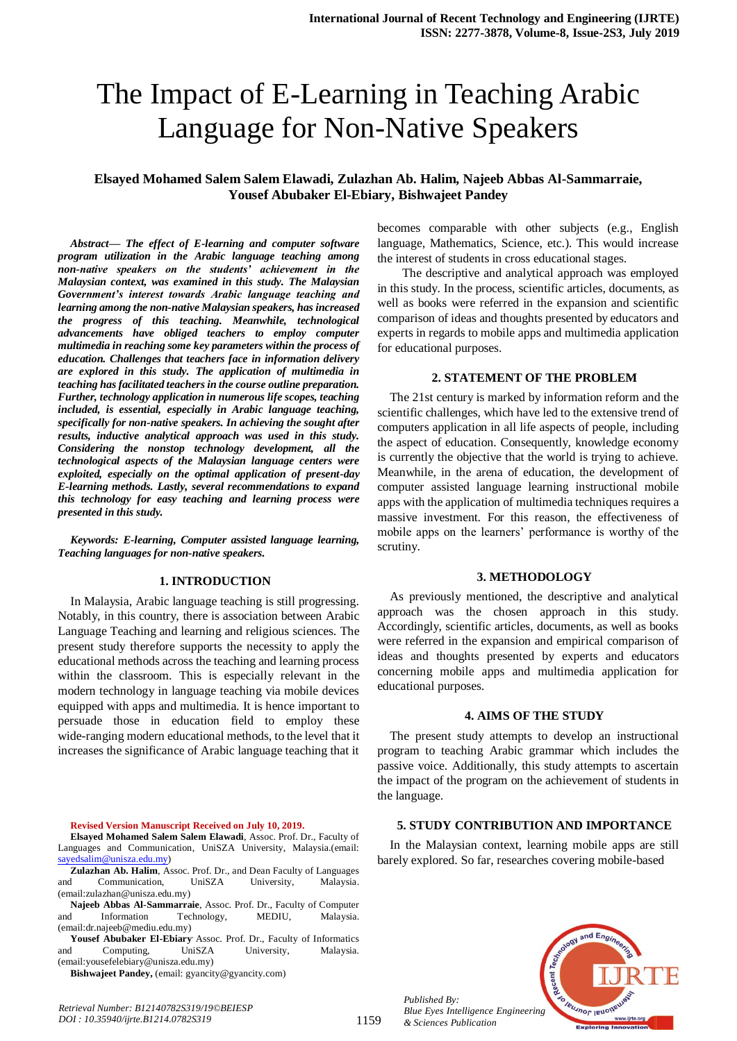# The Impact of E-Learning in Teaching Arabic Language for Non-Native Speakers

## **Elsayed Mohamed Salem Salem Elawadi, Zulazhan Ab. Halim, Najeeb Abbas Al-Sammarraie, Yousef Abubaker El-Ebiary, Bishwajeet Pandey**

*Abstract***—** *The effect of E-learning and computer software program utilization in the Arabic language teaching among non-native speakers on the students' achievement in the Malaysian context, was examined in this study. The Malaysian Government's interest towards Arabic language teaching and learning among the non-native Malaysian speakers, has increased the progress of this teaching. Meanwhile, technological advancements have obliged teachers to employ computer multimedia in reaching some key parameters within the process of education. Challenges that teachers face in information delivery are explored in this study. The application of multimedia in teaching has facilitated teachers in the course outline preparation. Further, technology application in numerous life scopes, teaching included, is essential, especially in Arabic language teaching, specifically for non-native speakers. In achieving the sought after results, inductive analytical approach was used in this study. Considering the nonstop technology development, all the technological aspects of the Malaysian language centers were exploited, especially on the optimal application of present-day E-learning methods. Lastly, several recommendations to expand this technology for easy teaching and learning process were presented in this study.*

*Keywords: E-learning, Computer assisted language learning, Teaching languages for non-native speakers.*

#### **1. INTRODUCTION**

In Malaysia, Arabic language teaching is still progressing. Notably, in this country, there is association between Arabic Language Teaching and learning and religious sciences. The present study therefore supports the necessity to apply the educational methods across the teaching and learning process within the classroom. This is especially relevant in the modern technology in language teaching via mobile devices equipped with apps and multimedia. It is hence important to persuade those in education field to employ these wide-ranging modern educational methods, to the level that it increases the significance of Arabic language teaching that it

**Revised Version Manuscript Received on July 10, 2019.**

**Elsayed Mohamed Salem Salem Elawadi**, Assoc. Prof. Dr., Faculty of Languages and Communication, UniSZA University, Malaysia.(email: [sayedsalim@unisza.edu.my\)](mailto:sayedsalim@unisza.edu.my)

**Zulazhan Ab. Halim**, Assoc. Prof. Dr., and Dean Faculty of Languages and Communication, UniSZA University, Malaysia. (email:zulazhan@unisza.edu.my)

**Najeeb Abbas Al-Sammarraie**, Assoc. Prof. Dr., Faculty of Computer and Information Technology, MEDIU, Malaysia. (email:dr.najeeb@mediu.edu.my)

**Yousef Abubaker El-Ebiary**, Assoc. Prof. Dr., Faculty of Informatics and Computing, UniSZA University, Malaysia. (email:yousefelebiary@unisza.edu.my)

Bishwajeet Pandey, (email: gyancity@gyancity.com)

*Retrieval Number: B12140782S319/19©BEIESP DOI : 10.35940/ijrte.B1214.0782S319*

becomes comparable with other subjects (e.g., English language, Mathematics, Science, etc.). This would increase the interest of students in cross educational stages.

The descriptive and analytical approach was employed in this study. In the process, scientific articles, documents, as well as books were referred in the expansion and scientific comparison of ideas and thoughts presented by educators and experts in regards to mobile apps and multimedia application for educational purposes.

#### **2. STATEMENT OF THE PROBLEM**

The 21st century is marked by information reform and the scientific challenges, which have led to the extensive trend of computers application in all life aspects of people, including the aspect of education. Consequently, knowledge economy is currently the objective that the world is trying to achieve. Meanwhile, in the arena of education, the development of computer assisted language learning instructional mobile apps with the application of multimedia techniques requires a massive investment. For this reason, the effectiveness of mobile apps on the learners' performance is worthy of the scrutiny.

#### **3. METHODOLOGY**

As previously mentioned, the descriptive and analytical approach was the chosen approach in this study. Accordingly, scientific articles, documents, as well as books were referred in the expansion and empirical comparison of ideas and thoughts presented by experts and educators concerning mobile apps and multimedia application for educational purposes.

#### **4. AIMS OF THE STUDY**

The present study attempts to develop an instructional program to teaching Arabic grammar which includes the passive voice. Additionally, this study attempts to ascertain the impact of the program on the achievement of students in the language.

#### **5. STUDY CONTRIBUTION AND IMPORTANCE**

In the Malaysian context, learning mobile apps are still barely explored. So far, researches covering mobile-based



*Published By: Blue Eyes Intelligence Engineering & Sciences Publication*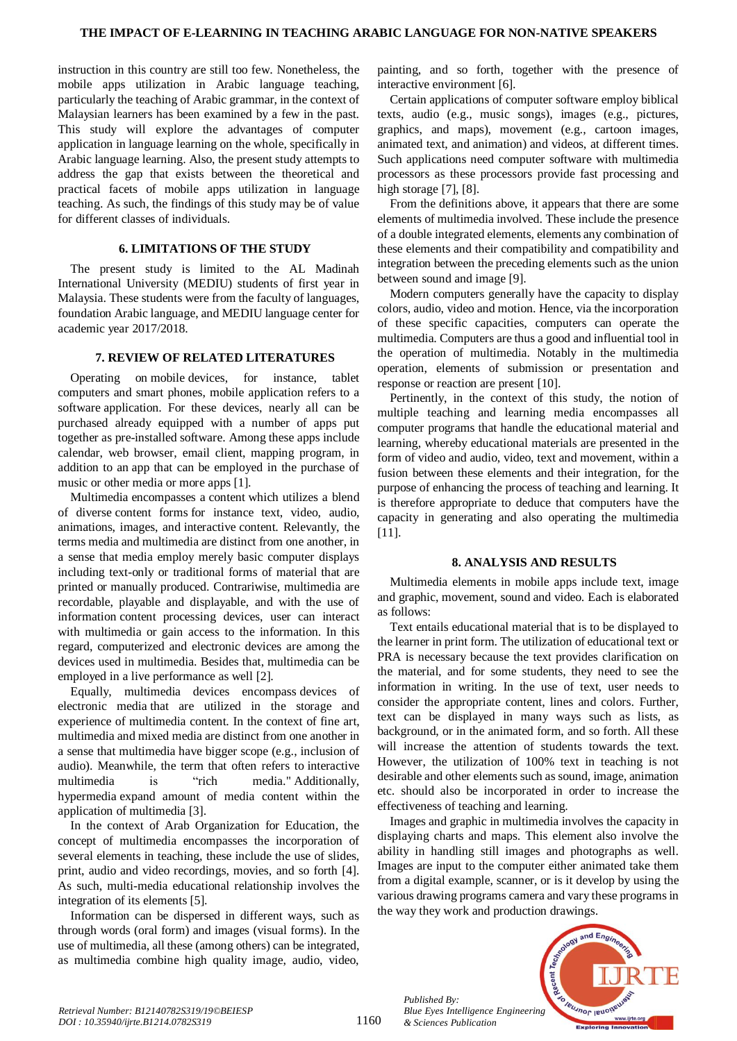instruction in this country are still too few. Nonetheless, the mobile apps utilization in Arabic language teaching, particularly the teaching of Arabic grammar, in the context of Malaysian learners has been examined by a few in the past. This study will explore the advantages of computer application in language learning on the whole, specifically in Arabic language learning. Also, the present study attempts to address the gap that exists between the theoretical and practical facets of mobile apps utilization in language teaching. As such, the findings of this study may be of value for different classes of individuals.

## **6. LIMITATIONS OF THE STUDY**

The present study is limited to the AL Madinah International University (MEDIU) students of first year in Malaysia. These students were from the faculty of languages, foundation Arabic language, and MEDIU language center for academic year 2017/2018.

#### **7. REVIEW OF RELATED LITERATURES**

Operating on mobile devices, for instance, tablet computers and smart phones, mobile application refers to a software application. For these devices, nearly all can be purchased already equipped with a number of apps put together as pre-installed software. Among these apps include calendar, web browser, email client, mapping program, in addition to an app that can be employed in the purchase of music or other media or more apps [1].

Multimedia encompasses a [content](https://en.wikipedia.org/wiki/Content_(media)) which utilizes a blend of diverse [content forms](https://en.wikipedia.org/wiki/Content_format) for instance text, video, audio, animations, images, and [interactive](https://en.wikipedia.org/wiki/Interactive) content. Relevantly, the terms media and multimedia are distinct from one another, in a sense that media employ merely basic computer displays including text-only or traditional forms of material that are printed or manually produced. Contrariwise, multimedia are recordable, playable and displayable, and with the use of [information](https://en.wikipedia.org/wiki/Information) content processing devices, user can interact with multimedia or gain access to the information. In this regard, computerized and electronic devices are among the devices used in multimedia. Besides that, multimedia can be employed in a live performance as well [2].

Equally, multimedia devices encompass devices of [electronic media](https://en.wikipedia.org/wiki/Electronic_media) that are utilized in the storage and experience of multimedia content. In the context of [fine art,](https://en.wikipedia.org/wiki/Fine_art) multimedia an[d mixed media](https://en.wikipedia.org/wiki/Mixed_media) are distinct from one another in a sense that multimedia have bigger scope (e.g., inclusion of audio). Meanwhile, the term that often refers to [interactive](https://en.wikipedia.org/wiki/Interactive_media)  [multimedia](https://en.wikipedia.org/wiki/Interactive_media) is ["rich media.](https://en.wikipedia.org/wiki/Rich_media)" Additionally, [hypermedia](https://en.wikipedia.org/wiki/Hypermedia) expand amount of media content within the application of multimedia [3].

In the context of Arab Organization for Education, the concept of multimedia encompasses the incorporation of several elements in teaching, these include the use of slides, print, audio and video recordings, movies, and so forth [4]. As such, multi-media educational relationship involves the integration of its elements [5].

Information can be dispersed in different ways, such as through words (oral form) and images (visual forms). In the use of multimedia, all these (among others) can be integrated, as multimedia combine high quality image, audio, video,

painting, and so forth, together with the presence of interactive environment [6].

Certain applications of computer software employ biblical texts, audio (e.g., music songs), images (e.g., pictures, graphics, and maps), movement (e.g., cartoon images, animated text, and animation) and videos, at different times. Such applications need computer software with multimedia processors as these processors provide fast processing and high storage [7], [8].

From the definitions above, it appears that there are some elements of multimedia involved. These include the presence of a double integrated elements, elements any combination of these elements and their compatibility and compatibility and integration between the preceding elements such as the union between sound and image [9].

Modern computers generally have the capacity to display colors, audio, video and motion. Hence, via the incorporation of these specific capacities, computers can operate the multimedia. Computers are thus a good and influential tool in the operation of multimedia. Notably in the multimedia operation, elements of submission or presentation and response or reaction are present [10].

Pertinently, in the context of this study, the notion of multiple teaching and learning media encompasses all computer programs that handle the educational material and learning, whereby educational materials are presented in the form of video and audio, video, text and movement, within a fusion between these elements and their integration, for the purpose of enhancing the process of teaching and learning. It is therefore appropriate to deduce that computers have the capacity in generating and also operating the multimedia [11].

#### **8. ANALYSIS AND RESULTS**

Multimedia elements in mobile apps include text, image and graphic, movement, sound and video. Each is elaborated as follows:

Text entails educational material that is to be displayed to the learner in print form. The utilization of educational text or PRA is necessary because the text provides clarification on the material, and for some students, they need to see the information in writing. In the use of text, user needs to consider the appropriate content, lines and colors. Further, text can be displayed in many ways such as lists, as background, or in the animated form, and so forth. All these will increase the attention of students towards the text. However, the utilization of 100% text in teaching is not desirable and other elements such as sound, image, animation etc. should also be incorporated in order to increase the effectiveness of teaching and learning.

Images and graphic in multimedia involves the capacity in displaying charts and maps. This element also involve the ability in handling still images and photographs as well. Images are input to the computer either animated take them from a digital example, scanner, or is it develop by using the various drawing programs camera and vary these programs in the way they work and production drawings.



1160

*Published By:*

*& Sciences Publication*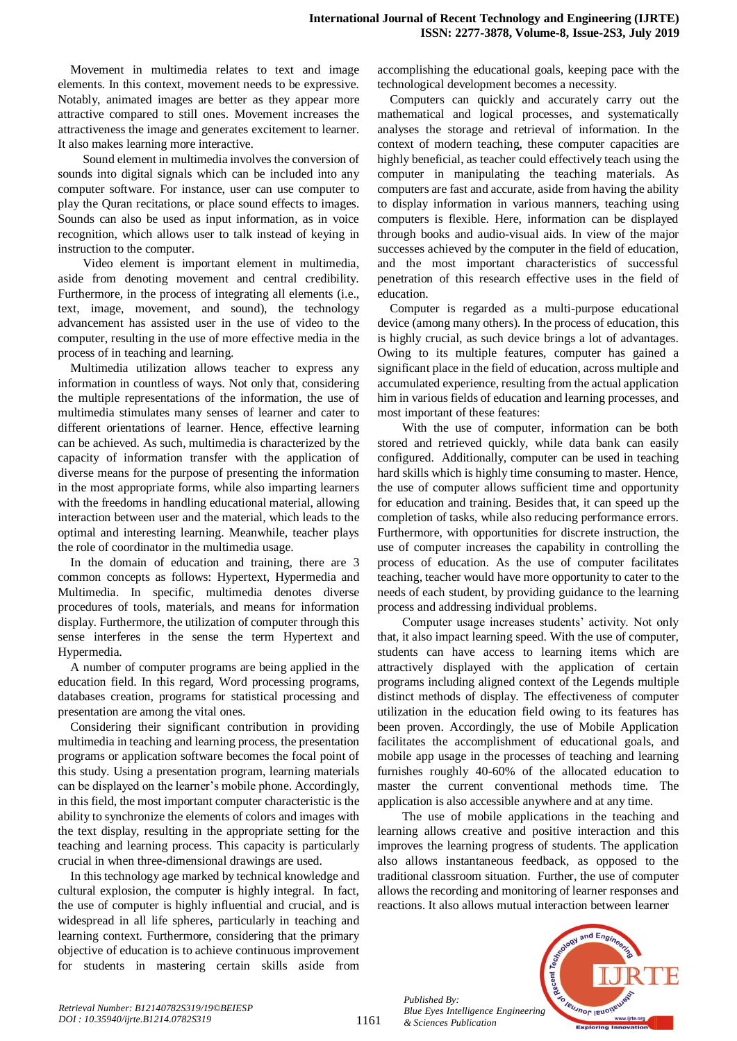Movement in multimedia relates to text and image elements. In this context, movement needs to be expressive. Notably, animated images are better as they appear more attractive compared to still ones. Movement increases the attractiveness the image and generates excitement to learner. It also makes learning more interactive.

Sound element in multimedia involves the conversion of sounds into digital signals which can be included into any computer software. For instance, user can use computer to play the Quran recitations, or place sound effects to images. Sounds can also be used as input information, as in voice recognition, which allows user to talk instead of keying in instruction to the computer.

Video element is important element in multimedia, aside from denoting movement and central credibility. Furthermore, in the process of integrating all elements (i.e., text, image, movement, and sound), the technology advancement has assisted user in the use of video to the computer, resulting in the use of more effective media in the process of in teaching and learning.

Multimedia utilization allows teacher to express any information in countless of ways. Not only that, considering the multiple representations of the information, the use of multimedia stimulates many senses of learner and cater to different orientations of learner. Hence, effective learning can be achieved. As such, multimedia is characterized by the capacity of information transfer with the application of diverse means for the purpose of presenting the information in the most appropriate forms, while also imparting learners with the freedoms in handling educational material, allowing interaction between user and the material, which leads to the optimal and interesting learning. Meanwhile, teacher plays the role of coordinator in the multimedia usage.

In the domain of education and training, there are 3 common concepts as follows: Hypertext, Hypermedia and Multimedia. In specific, multimedia denotes diverse procedures of tools, materials, and means for information display. Furthermore, the utilization of computer through this sense interferes in the sense the term Hypertext and Hypermedia.

A number of computer programs are being applied in the education field. In this regard, Word processing programs, databases creation, programs for statistical processing and presentation are among the vital ones.

Considering their significant contribution in providing multimedia in teaching and learning process, the presentation programs or application software becomes the focal point of this study. Using a presentation program, learning materials can be displayed on the learner's mobile phone. Accordingly, in this field, the most important computer characteristic is the ability to synchronize the elements of colors and images with the text display, resulting in the appropriate setting for the teaching and learning process. This capacity is particularly crucial in when three-dimensional drawings are used.

In this technology age marked by technical knowledge and cultural explosion, the computer is highly integral. In fact, the use of computer is highly influential and crucial, and is widespread in all life spheres, particularly in teaching and learning context. Furthermore, considering that the primary objective of education is to achieve continuous improvement for students in mastering certain skills aside from

accomplishing the educational goals, keeping pace with the technological development becomes a necessity.

Computers can quickly and accurately carry out the mathematical and logical processes, and systematically analyses the storage and retrieval of information. In the context of modern teaching, these computer capacities are highly beneficial, as teacher could effectively teach using the computer in manipulating the teaching materials. As computers are fast and accurate, aside from having the ability to display information in various manners, teaching using computers is flexible. Here, information can be displayed through books and audio-visual aids. In view of the major successes achieved by the computer in the field of education, and the most important characteristics of successful penetration of this research effective uses in the field of education.

Computer is regarded as a multi-purpose educational device (among many others). In the process of education, this is highly crucial, as such device brings a lot of advantages. Owing to its multiple features, computer has gained a significant place in the field of education, across multiple and accumulated experience, resulting from the actual application him in various fields of education and learning processes, and most important of these features:

With the use of computer, information can be both stored and retrieved quickly, while data bank can easily configured. Additionally, computer can be used in teaching hard skills which is highly time consuming to master. Hence, the use of computer allows sufficient time and opportunity for education and training. Besides that, it can speed up the completion of tasks, while also reducing performance errors. Furthermore, with opportunities for discrete instruction, the use of computer increases the capability in controlling the process of education. As the use of computer facilitates teaching, teacher would have more opportunity to cater to the needs of each student, by providing guidance to the learning process and addressing individual problems.

Computer usage increases students' activity. Not only that, it also impact learning speed. With the use of computer, students can have access to learning items which are attractively displayed with the application of certain programs including aligned context of the Legends multiple distinct methods of display. The effectiveness of computer utilization in the education field owing to its features has been proven. Accordingly, the use of Mobile Application facilitates the accomplishment of educational goals, and mobile app usage in the processes of teaching and learning furnishes roughly 40-60% of the allocated education to master the current conventional methods time. The application is also accessible anywhere and at any time.

The use of mobile applications in the teaching and learning allows creative and positive interaction and this improves the learning progress of students. The application also allows instantaneous feedback, as opposed to the traditional classroom situation. Further, the use of computer allows the recording and monitoring of learner responses and reactions. It also allows mutual interaction between learner

*Published By: Blue Eyes Intelligence Engineering & Sciences Publication*